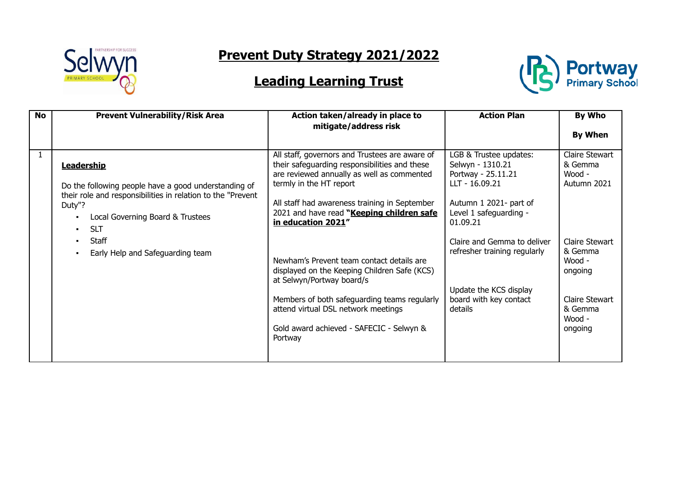

## **Prevent Duty Strategy 2021/2022**

## **Leading Learning Trust**



| <b>No</b> | <b>Prevent Vulnerability/Risk Area</b>                                                                                                                                                                                                                    | Action taken/already in place to<br>mitigate/address risk                                                                                                                                                                                                                                                                                                                                                                                                                                                                                                            | <b>Action Plan</b>                                                                                                                                                                                                                                                               | By Who<br><b>By When</b>                                                                                                                               |
|-----------|-----------------------------------------------------------------------------------------------------------------------------------------------------------------------------------------------------------------------------------------------------------|----------------------------------------------------------------------------------------------------------------------------------------------------------------------------------------------------------------------------------------------------------------------------------------------------------------------------------------------------------------------------------------------------------------------------------------------------------------------------------------------------------------------------------------------------------------------|----------------------------------------------------------------------------------------------------------------------------------------------------------------------------------------------------------------------------------------------------------------------------------|--------------------------------------------------------------------------------------------------------------------------------------------------------|
|           | <b>Leadership</b><br>Do the following people have a good understanding of<br>their role and responsibilities in relation to the "Prevent"<br>Duty"?<br>Local Governing Board & Trustees<br><b>SLT</b><br><b>Staff</b><br>Early Help and Safeguarding team | All staff, governors and Trustees are aware of<br>their safeguarding responsibilities and these<br>are reviewed annually as well as commented<br>termly in the HT report<br>All staff had awareness training in September<br>2021 and have read "Keeping children safe<br>in education 2021"<br>Newham's Prevent team contact details are<br>displayed on the Keeping Children Safe (KCS)<br>at Selwyn/Portway board/s<br>Members of both safeguarding teams regularly<br>attend virtual DSL network meetings<br>Gold award achieved - SAFECIC - Selwyn &<br>Portway | LGB & Trustee updates:<br>Selwyn - 1310.21<br>Portway - 25.11.21<br>LLT - 16.09.21<br>Autumn 1 2021- part of<br>Level 1 safeguarding -<br>01.09.21<br>Claire and Gemma to deliver<br>refresher training regularly<br>Update the KCS display<br>board with key contact<br>details | Claire Stewart<br>& Gemma<br>Wood -<br>Autumn 2021<br>Claire Stewart<br>& Gemma<br>Wood -<br>ongoing<br>Claire Stewart<br>& Gemma<br>Wood -<br>ongoing |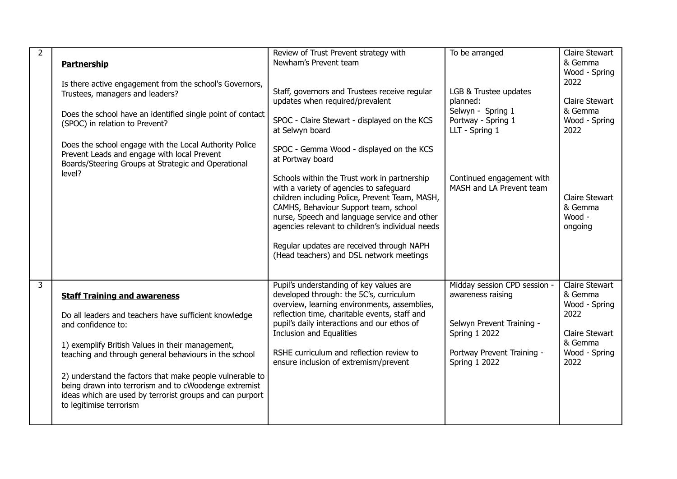| $\overline{2}$          | <b>Partnership</b><br>Is there active engagement from the school's Governors,<br>Trustees, managers and leaders?<br>Does the school have an identified single point of contact<br>(SPOC) in relation to Prevent?                                                                                                                                                                                                                            | Review of Trust Prevent strategy with<br>Newham's Prevent team<br>Staff, governors and Trustees receive regular<br>updates when required/prevalent<br>SPOC - Claire Stewart - displayed on the KCS<br>at Selwyn board                                                                                                                                                                                                                           | To be arranged<br>LGB & Trustee updates<br>planned:<br>Selwyn - Spring 1<br>Portway - Spring 1<br>LLT - Spring 1                                             | <b>Claire Stewart</b><br>& Gemma<br>Wood - Spring<br>2022<br><b>Claire Stewart</b><br>& Gemma<br>Wood - Spring<br>2022 |
|-------------------------|---------------------------------------------------------------------------------------------------------------------------------------------------------------------------------------------------------------------------------------------------------------------------------------------------------------------------------------------------------------------------------------------------------------------------------------------|-------------------------------------------------------------------------------------------------------------------------------------------------------------------------------------------------------------------------------------------------------------------------------------------------------------------------------------------------------------------------------------------------------------------------------------------------|--------------------------------------------------------------------------------------------------------------------------------------------------------------|------------------------------------------------------------------------------------------------------------------------|
|                         | Does the school engage with the Local Authority Police<br>Prevent Leads and engage with local Prevent<br>Boards/Steering Groups at Strategic and Operational<br>level?                                                                                                                                                                                                                                                                      | SPOC - Gemma Wood - displayed on the KCS<br>at Portway board<br>Schools within the Trust work in partnership<br>with a variety of agencies to safeguard<br>children including Police, Prevent Team, MASH,<br>CAMHS, Behaviour Support team, school<br>nurse, Speech and language service and other<br>agencies relevant to children's individual needs<br>Regular updates are received through NAPH<br>(Head teachers) and DSL network meetings | Continued engagement with<br>MASH and LA Prevent team                                                                                                        | <b>Claire Stewart</b><br>& Gemma<br>Wood -<br>ongoing                                                                  |
| $\overline{\mathbf{3}}$ | <b>Staff Training and awareness</b><br>Do all leaders and teachers have sufficient knowledge<br>and confidence to:<br>1) exemplify British Values in their management,<br>teaching and through general behaviours in the school<br>2) understand the factors that make people vulnerable to<br>being drawn into terrorism and to cWoodenge extremist<br>ideas which are used by terrorist groups and can purport<br>to legitimise terrorism | Pupil's understanding of key values are<br>developed through: the 5C's, curriculum<br>overview, learning environments, assemblies,<br>reflection time, charitable events, staff and<br>pupil's daily interactions and our ethos of<br><b>Inclusion and Equalities</b><br>RSHE curriculum and reflection review to<br>ensure inclusion of extremism/prevent                                                                                      | Midday session CPD session -<br>awareness raising<br>Selwyn Prevent Training -<br><b>Spring 1 2022</b><br>Portway Prevent Training -<br><b>Spring 1 2022</b> | <b>Claire Stewart</b><br>& Gemma<br>Wood - Spring<br>2022<br><b>Claire Stewart</b><br>& Gemma<br>Wood - Spring<br>2022 |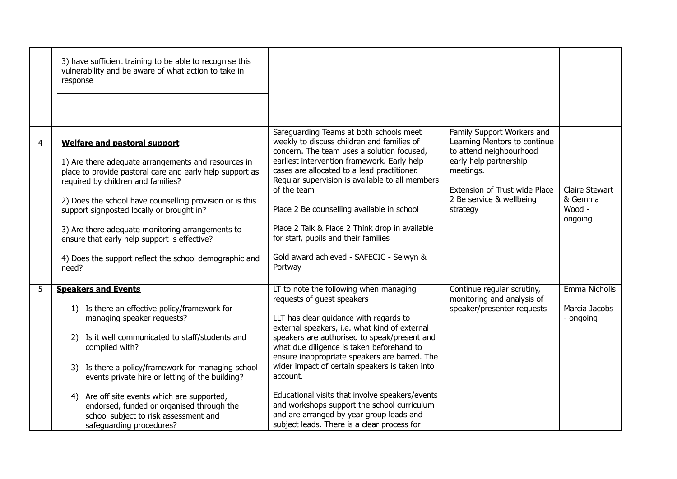|   | 3) have sufficient training to be able to recognise this<br>vulnerability and be aware of what action to take in<br>response                                                                                                                                                                                                                                                                                                                                                 |                                                                                                                                                                                                                                                                                                                                                                                                                                                                                                                                                                          |                                                                                                                                                                                                       |                                                       |
|---|------------------------------------------------------------------------------------------------------------------------------------------------------------------------------------------------------------------------------------------------------------------------------------------------------------------------------------------------------------------------------------------------------------------------------------------------------------------------------|--------------------------------------------------------------------------------------------------------------------------------------------------------------------------------------------------------------------------------------------------------------------------------------------------------------------------------------------------------------------------------------------------------------------------------------------------------------------------------------------------------------------------------------------------------------------------|-------------------------------------------------------------------------------------------------------------------------------------------------------------------------------------------------------|-------------------------------------------------------|
| 4 | <b>Welfare and pastoral support</b><br>1) Are there adequate arrangements and resources in<br>place to provide pastoral care and early help support as<br>required by children and families?<br>2) Does the school have counselling provision or is this<br>support signposted locally or brought in?<br>3) Are there adequate monitoring arrangements to<br>ensure that early help support is effective?<br>4) Does the support reflect the school demographic and<br>need? | Safeguarding Teams at both schools meet<br>weekly to discuss children and families of<br>concern. The team uses a solution focused,<br>earliest intervention framework. Early help<br>cases are allocated to a lead practitioner.<br>Regular supervision is available to all members<br>of the team<br>Place 2 Be counselling available in school<br>Place 2 Talk & Place 2 Think drop in available<br>for staff, pupils and their families<br>Gold award achieved - SAFECIC - Selwyn &<br>Portway                                                                       | Family Support Workers and<br>Learning Mentors to continue<br>to attend neighbourhood<br>early help partnership<br>meetings.<br>Extension of Trust wide Place<br>2 Be service & wellbeing<br>strategy | <b>Claire Stewart</b><br>& Gemma<br>Wood -<br>ongoing |
| 5 | <b>Speakers and Events</b><br>1) Is there an effective policy/framework for<br>managing speaker requests?<br>Is it well communicated to staff/students and<br>2)<br>complied with?<br>3) Is there a policy/framework for managing school<br>events private hire or letting of the building?<br>4) Are off site events which are supported,<br>endorsed, funded or organised through the<br>school subject to risk assessment and<br>safeguarding procedures?                 | LT to note the following when managing<br>requests of guest speakers<br>LLT has clear guidance with regards to<br>external speakers, i.e. what kind of external<br>speakers are authorised to speak/present and<br>what due diligence is taken beforehand to<br>ensure inappropriate speakers are barred. The<br>wider impact of certain speakers is taken into<br>account.<br>Educational visits that involve speakers/events<br>and workshops support the school curriculum<br>and are arranged by year group leads and<br>subject leads. There is a clear process for | Continue regular scrutiny,<br>monitoring and analysis of<br>speaker/presenter requests                                                                                                                | Emma Nicholls<br>Marcia Jacobs<br>- ongoing           |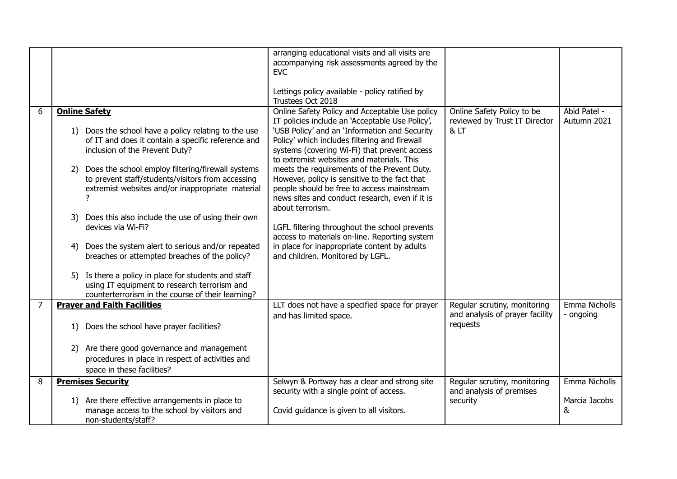|                |                                                                                                                                                                                                                                                                                                                                                                                                                                                                                                                                      | arranging educational visits and all visits are<br>accompanying risk assessments agreed by the<br><b>EVC</b>                                                                                                                                                                                                                                                                                                                                                                                                                                                                                                                                                                                               |                                                                             |                                     |
|----------------|--------------------------------------------------------------------------------------------------------------------------------------------------------------------------------------------------------------------------------------------------------------------------------------------------------------------------------------------------------------------------------------------------------------------------------------------------------------------------------------------------------------------------------------|------------------------------------------------------------------------------------------------------------------------------------------------------------------------------------------------------------------------------------------------------------------------------------------------------------------------------------------------------------------------------------------------------------------------------------------------------------------------------------------------------------------------------------------------------------------------------------------------------------------------------------------------------------------------------------------------------------|-----------------------------------------------------------------------------|-------------------------------------|
|                |                                                                                                                                                                                                                                                                                                                                                                                                                                                                                                                                      | Lettings policy available - policy ratified by<br>Trustees Oct 2018                                                                                                                                                                                                                                                                                                                                                                                                                                                                                                                                                                                                                                        |                                                                             |                                     |
| 6              | <b>Online Safety</b><br>1) Does the school have a policy relating to the use<br>of IT and does it contain a specific reference and<br>inclusion of the Prevent Duty?<br>Does the school employ filtering/firewall systems<br>2)<br>to prevent staff/students/visitors from accessing<br>extremist websites and/or inappropriate material<br>Does this also include the use of using their own<br>3)<br>devices via Wi-Fi?<br>Does the system alert to serious and/or repeated<br>4)<br>breaches or attempted breaches of the policy? | Online Safety Policy and Acceptable Use policy<br>IT policies include an 'Acceptable Use Policy',<br>'USB Policy' and an 'Information and Security<br>Policy' which includes filtering and firewall<br>systems (covering Wi-Fi) that prevent access<br>to extremist websites and materials. This<br>meets the requirements of the Prevent Duty.<br>However, policy is sensitive to the fact that<br>people should be free to access mainstream<br>news sites and conduct research, even if it is<br>about terrorism.<br>LGFL filtering throughout the school prevents<br>access to materials on-line. Reporting system<br>in place for inappropriate content by adults<br>and children. Monitored by LGFL. | Online Safety Policy to be<br>reviewed by Trust IT Director<br>& LT         | Abid Patel -<br>Autumn 2021         |
|                | Is there a policy in place for students and staff<br>5)<br>using IT equipment to research terrorism and<br>counterterrorism in the course of their learning?                                                                                                                                                                                                                                                                                                                                                                         |                                                                                                                                                                                                                                                                                                                                                                                                                                                                                                                                                                                                                                                                                                            |                                                                             |                                     |
| $\overline{7}$ | <b>Prayer and Faith Facilities</b><br>Does the school have prayer facilities?<br>1)                                                                                                                                                                                                                                                                                                                                                                                                                                                  | LLT does not have a specified space for prayer<br>and has limited space.                                                                                                                                                                                                                                                                                                                                                                                                                                                                                                                                                                                                                                   | Regular scrutiny, monitoring<br>and analysis of prayer facility<br>requests | Emma Nicholls<br>- ongoing          |
|                | Are there good governance and management<br>2)<br>procedures in place in respect of activities and<br>space in these facilities?                                                                                                                                                                                                                                                                                                                                                                                                     |                                                                                                                                                                                                                                                                                                                                                                                                                                                                                                                                                                                                                                                                                                            |                                                                             |                                     |
| 8              | <b>Premises Security</b><br>1) Are there effective arrangements in place to<br>manage access to the school by visitors and<br>non-students/staff?                                                                                                                                                                                                                                                                                                                                                                                    | Selwyn & Portway has a clear and strong site<br>security with a single point of access.<br>Covid guidance is given to all visitors.                                                                                                                                                                                                                                                                                                                                                                                                                                                                                                                                                                        | Regular scrutiny, monitoring<br>and analysis of premises<br>security        | Emma Nicholls<br>Marcia Jacobs<br>& |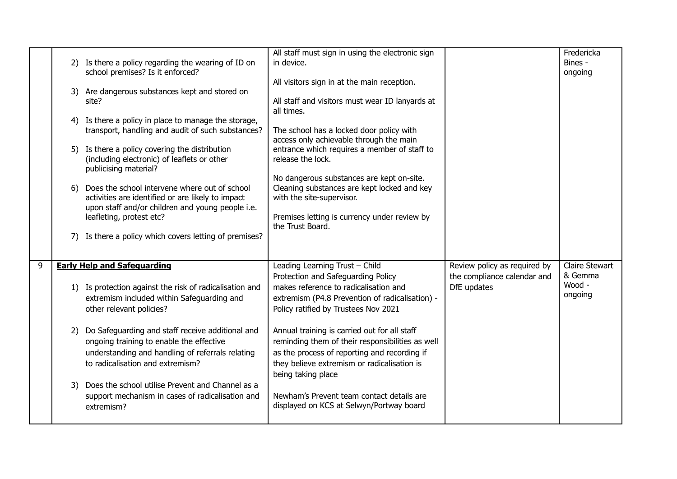|   | 6) | 2) Is there a policy regarding the wearing of ID on<br>school premises? Is it enforced?<br>3) Are dangerous substances kept and stored on<br>site?<br>4) Is there a policy in place to manage the storage,<br>transport, handling and audit of such substances?<br>5) Is there a policy covering the distribution<br>(including electronic) of leaflets or other<br>publicising material?<br>Does the school intervene where out of school<br>activities are identified or are likely to impact<br>upon staff and/or children and young people i.e.<br>leafleting, protest etc? | All staff must sign in using the electronic sign<br>in device.<br>All visitors sign in at the main reception.<br>All staff and visitors must wear ID lanyards at<br>all times.<br>The school has a locked door policy with<br>access only achievable through the main<br>entrance which requires a member of staff to<br>release the lock.<br>No dangerous substances are kept on-site.<br>Cleaning substances are kept locked and key<br>with the site-supervisor.<br>Premises letting is currency under review by<br>the Trust Board. |                                                                            | Fredericka<br>Bines -<br>ongoing                      |
|---|----|---------------------------------------------------------------------------------------------------------------------------------------------------------------------------------------------------------------------------------------------------------------------------------------------------------------------------------------------------------------------------------------------------------------------------------------------------------------------------------------------------------------------------------------------------------------------------------|-----------------------------------------------------------------------------------------------------------------------------------------------------------------------------------------------------------------------------------------------------------------------------------------------------------------------------------------------------------------------------------------------------------------------------------------------------------------------------------------------------------------------------------------|----------------------------------------------------------------------------|-------------------------------------------------------|
|   | 7) | Is there a policy which covers letting of premises?                                                                                                                                                                                                                                                                                                                                                                                                                                                                                                                             |                                                                                                                                                                                                                                                                                                                                                                                                                                                                                                                                         |                                                                            |                                                       |
| 9 |    | <b>Early Help and Safeguarding</b><br>1) Is protection against the risk of radicalisation and<br>extremism included within Safeguarding and<br>other relevant policies?                                                                                                                                                                                                                                                                                                                                                                                                         | Leading Learning Trust - Child<br>Protection and Safeguarding Policy<br>makes reference to radicalisation and<br>extremism (P4.8 Prevention of radicalisation) -<br>Policy ratified by Trustees Nov 2021                                                                                                                                                                                                                                                                                                                                | Review policy as required by<br>the compliance calendar and<br>DfE updates | <b>Claire Stewart</b><br>& Gemma<br>Wood -<br>ongoing |
|   | 2) | Do Safeguarding and staff receive additional and<br>ongoing training to enable the effective<br>understanding and handling of referrals relating<br>to radicalisation and extremism?                                                                                                                                                                                                                                                                                                                                                                                            | Annual training is carried out for all staff<br>reminding them of their responsibilities as well<br>as the process of reporting and recording if<br>they believe extremism or radicalisation is<br>being taking place                                                                                                                                                                                                                                                                                                                   |                                                                            |                                                       |
|   | 3) | Does the school utilise Prevent and Channel as a<br>support mechanism in cases of radicalisation and<br>extremism?                                                                                                                                                                                                                                                                                                                                                                                                                                                              | Newham's Prevent team contact details are<br>displayed on KCS at Selwyn/Portway board                                                                                                                                                                                                                                                                                                                                                                                                                                                   |                                                                            |                                                       |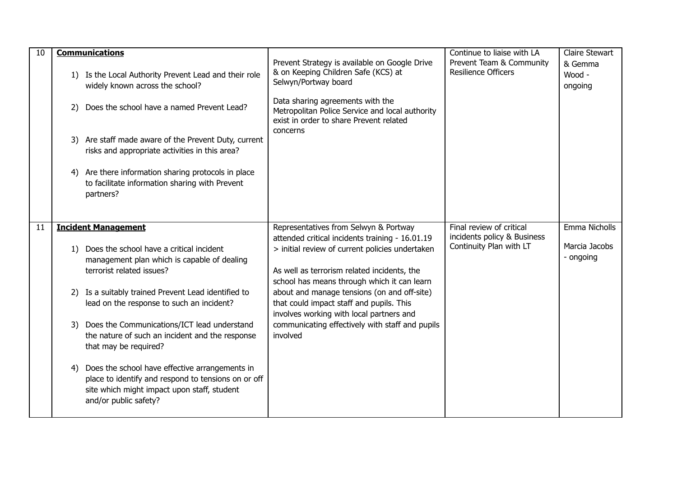| 10 | <b>Communications</b><br>1) Is the Local Authority Prevent Lead and their role<br>widely known across the school?<br>Does the school have a named Prevent Lead?<br>2)<br>3) Are staff made aware of the Prevent Duty, current<br>risks and appropriate activities in this area?<br>Are there information sharing protocols in place<br>4)<br>to facilitate information sharing with Prevent<br>partners?                                                                                                                                                                                | Prevent Strategy is available on Google Drive<br>& on Keeping Children Safe (KCS) at<br>Selwyn/Portway board<br>Data sharing agreements with the<br>Metropolitan Police Service and local authority<br>exist in order to share Prevent related<br>concerns                                                                                                                                                                                      | Continue to liaise with LA<br>Prevent Team & Community<br>Resilience Officers      | <b>Claire Stewart</b><br>& Gemma<br>Wood -<br>ongoing |
|----|-----------------------------------------------------------------------------------------------------------------------------------------------------------------------------------------------------------------------------------------------------------------------------------------------------------------------------------------------------------------------------------------------------------------------------------------------------------------------------------------------------------------------------------------------------------------------------------------|-------------------------------------------------------------------------------------------------------------------------------------------------------------------------------------------------------------------------------------------------------------------------------------------------------------------------------------------------------------------------------------------------------------------------------------------------|------------------------------------------------------------------------------------|-------------------------------------------------------|
| 11 | <b>Incident Management</b><br>Does the school have a critical incident<br>1)<br>management plan which is capable of dealing<br>terrorist related issues?<br>Is a suitably trained Prevent Lead identified to<br>2)<br>lead on the response to such an incident?<br>Does the Communications/ICT lead understand<br>3)<br>the nature of such an incident and the response<br>that may be required?<br>Does the school have effective arrangements in<br>4)<br>place to identify and respond to tensions on or off<br>site which might impact upon staff, student<br>and/or public safety? | Representatives from Selwyn & Portway<br>attended critical incidents training - 16.01.19<br>> initial review of current policies undertaken<br>As well as terrorism related incidents, the<br>school has means through which it can learn<br>about and manage tensions (on and off-site)<br>that could impact staff and pupils. This<br>involves working with local partners and<br>communicating effectively with staff and pupils<br>involved | Final review of critical<br>incidents policy & Business<br>Continuity Plan with LT | Emma Nicholls<br>Marcia Jacobs<br>- ongoing           |